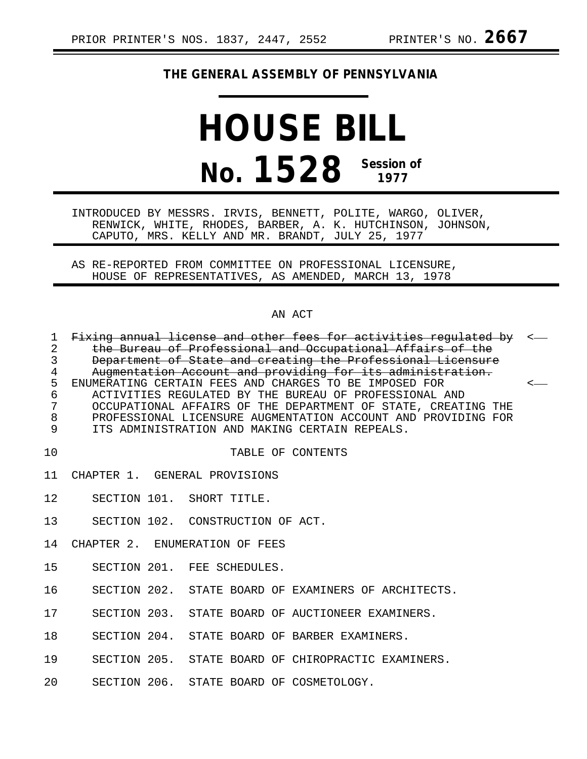# **THE GENERAL ASSEMBLY OF PENNSYLVANIA**

# **HOUSE BILL No. 1528 Session of 1977**

INTRODUCED BY MESSRS. IRVIS, BENNETT, POLITE, WARGO, OLIVER, RENWICK, WHITE, RHODES, BARBER, A. K. HUTCHINSON, JOHNSON, CAPUTO, MRS. KELLY AND MR. BRANDT, JULY 25, 1977

AS RE-REPORTED FROM COMMITTEE ON PROFESSIONAL LICENSURE, HOUSE OF REPRESENTATIVES, AS AMENDED, MARCH 13, 1978

## AN ACT

| $\mathbf 1$     | Fixing annual license and other fees for activities regulated by <- |  |
|-----------------|---------------------------------------------------------------------|--|
| $\overline{2}$  | the Bureau of Professional and Occupational Affairs of the          |  |
| $\mathsf{3}$    | Department of State and creating the Professional Licensure         |  |
| $\overline{4}$  | Augmentation Account and providing for its administration.          |  |
| 5               | ENUMERATING CERTAIN FEES AND CHARGES TO BE IMPOSED FOR              |  |
| 6               | ACTIVITIES REGULATED BY THE BUREAU OF PROFESSIONAL AND              |  |
| $\overline{7}$  | OCCUPATIONAL AFFAIRS OF THE DEPARTMENT OF STATE, CREATING THE       |  |
| 8               | PROFESSIONAL LICENSURE AUGMENTATION ACCOUNT AND PROVIDING FOR       |  |
| $\overline{9}$  | ITS ADMINISTRATION AND MAKING CERTAIN REPEALS.                      |  |
|                 |                                                                     |  |
| 10              | TABLE OF CONTENTS                                                   |  |
|                 | 11 CHAPTER 1. GENERAL PROVISIONS                                    |  |
|                 |                                                                     |  |
|                 | 12 SECTION 101. SHORT TITLE.                                        |  |
|                 |                                                                     |  |
|                 | 13 SECTION 102. CONSTRUCTION OF ACT.                                |  |
|                 |                                                                     |  |
|                 | 14 CHAPTER 2. ENUMERATION OF FEES                                   |  |
|                 | 15 SECTION 201. FEE SCHEDULES.                                      |  |
|                 |                                                                     |  |
| 16              | SECTION 202. STATE BOARD OF EXAMINERS OF ARCHITECTS.                |  |
|                 |                                                                     |  |
|                 | SECTION 203. STATE BOARD OF AUCTIONEER EXAMINERS.<br>17 — 17        |  |
|                 |                                                                     |  |
| 18              | SECTION 204. STATE BOARD OF BARBER EXAMINERS.                       |  |
| 19              | SECTION 205. STATE BOARD OF CHIROPRACTIC EXAMINERS.                 |  |
|                 |                                                                     |  |
| 20 <sub>o</sub> | SECTION 206. STATE BOARD OF COSMETOLOGY.                            |  |
|                 |                                                                     |  |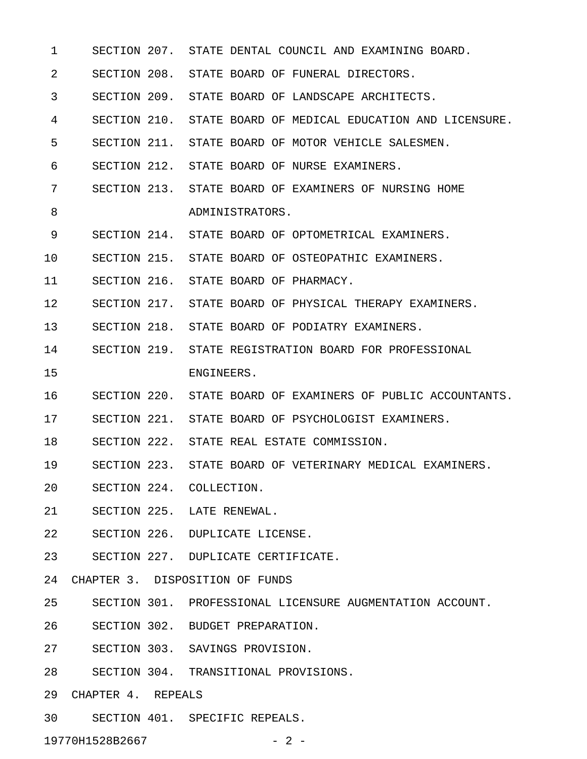1 SECTION 207. STATE DENTAL COUNCIL AND EXAMINING BOARD. 2 SECTION 208. STATE BOARD OF FUNERAL DIRECTORS. 3 SECTION 209. STATE BOARD OF LANDSCAPE ARCHITECTS. 4 SECTION 210. STATE BOARD OF MEDICAL EDUCATION AND LICENSURE. 5 SECTION 211. STATE BOARD OF MOTOR VEHICLE SALESMEN. 6 SECTION 212. STATE BOARD OF NURSE EXAMINERS. 7 SECTION 213. STATE BOARD OF EXAMINERS OF NURSING HOME 8 ADMINISTRATORS. 9 SECTION 214. STATE BOARD OF OPTOMETRICAL EXAMINERS. 10 SECTION 215. STATE BOARD OF OSTEOPATHIC EXAMINERS. 11 SECTION 216. STATE BOARD OF PHARMACY. 12 SECTION 217. STATE BOARD OF PHYSICAL THERAPY EXAMINERS. 13 SECTION 218. STATE BOARD OF PODIATRY EXAMINERS. 14 SECTION 219. STATE REGISTRATION BOARD FOR PROFESSIONAL 15 ENGINEERS. 16 SECTION 220. STATE BOARD OF EXAMINERS OF PUBLIC ACCOUNTANTS. 17 SECTION 221. STATE BOARD OF PSYCHOLOGIST EXAMINERS. 18 SECTION 222. STATE REAL ESTATE COMMISSION. 19 SECTION 223. STATE BOARD OF VETERINARY MEDICAL EXAMINERS. 20 SECTION 224. COLLECTION. 21 SECTION 225. LATE RENEWAL. 22 SECTION 226. DUPLICATE LICENSE. 23 SECTION 227. DUPLICATE CERTIFICATE. 24 CHAPTER 3. DISPOSITION OF FUNDS 25 SECTION 301. PROFESSIONAL LICENSURE AUGMENTATION ACCOUNT. 26 SECTION 302. BUDGET PREPARATION. 27 SECTION 303. SAVINGS PROVISION. 28 SECTION 304. TRANSITIONAL PROVISIONS. 29 CHAPTER 4. REPEALS 30 SECTION 401. SPECIFIC REPEALS.

19770H1528B2667 - 2 -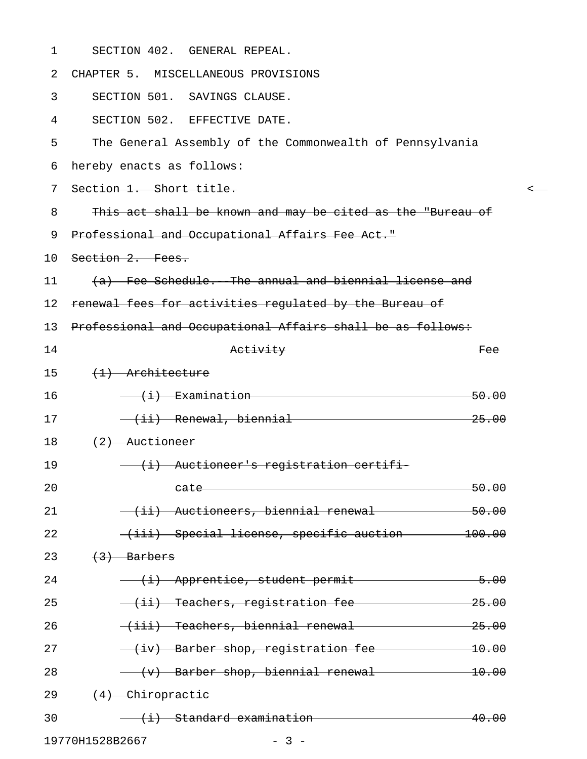| $\mathbf 1$ | SECTION 402. GENERAL REPEAL.                                                                                            |
|-------------|-------------------------------------------------------------------------------------------------------------------------|
| 2           | CHAPTER 5. MISCELLANEOUS PROVISIONS                                                                                     |
| 3           | SECTION 501. SAVINGS CLAUSE.                                                                                            |
| 4           | SECTION 502. EFFECTIVE DATE.                                                                                            |
| 5           | The General Assembly of the Commonwealth of Pennsylvania                                                                |
| 6           | hereby enacts as follows:                                                                                               |
| 7           | Section 1. Short title.                                                                                                 |
| 8           | This act shall be known and may be cited as the "Bureau of                                                              |
| 9           | Professional and Occupational Affairs Fee Act."                                                                         |
| 10          | Section 2. Fees.                                                                                                        |
| 11          | (a) Fee Schedule. The annual and biennial license and                                                                   |
| 12          | renewal fees for activities regulated by the Bureau of                                                                  |
| 13          | Professional and Occupational Affairs shall be as follows:                                                              |
| 14          | Activity<br>Fee                                                                                                         |
| 15          | $(1)$ Architecture                                                                                                      |
| 16          | $\overline{(+i)}$ Examination<br>50.00                                                                                  |
| 17          | (ii) Renewal, biennial entry and the sense of the sense of the sense of the sense of the sense of the sense of<br>25.00 |
| 18          | $(2)$ Auctioneer                                                                                                        |
| 19          | (i) Auctioneer's registration certifi-                                                                                  |
| 20          | 50.00<br>eate                                                                                                           |
| 21          | (ii) Auctioneers, biennial renewal<br>50.00                                                                             |
| 22          | (iii) Special license, specific auction 100.00                                                                          |
| 23          | $(3)$ Barbers                                                                                                           |
| 24          | (i) Apprentice, student permit<br>$-5.00$                                                                               |
| 25          | (ii) Teachers, registration fee<br>25.00                                                                                |
| 26          | (iii) Teachers, biennial renewal<br>25.00                                                                               |
| 27          | - (iv) Barber shop, registration fee<br>$-10.00$                                                                        |
| 28          | $-10.00$                                                                                                                |
| 29          | $(4)$ Chiropractic                                                                                                      |
| 30          | (i) Standard examination<br>40.00                                                                                       |

19770H1528B2667 - 3 -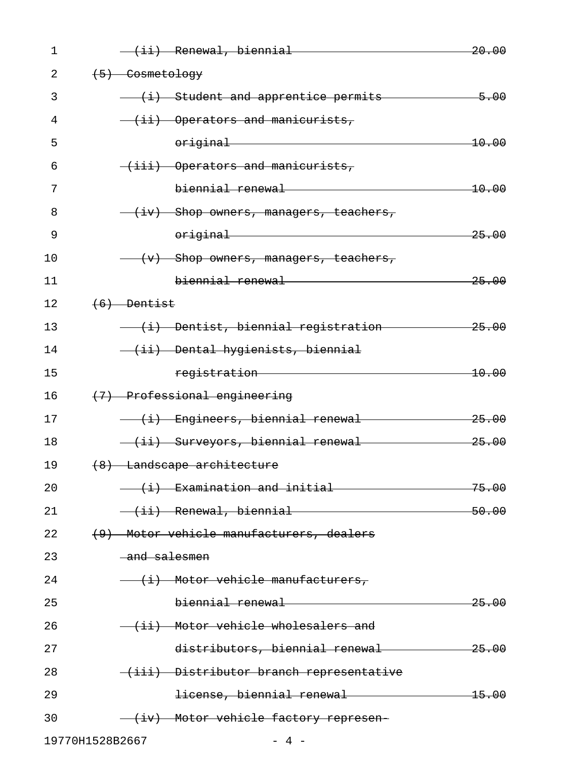| $\mathbf 1$ | (ii) Renewal, biennial                                                                                         | 20.00            |
|-------------|----------------------------------------------------------------------------------------------------------------|------------------|
| 2           | $(5)$ Cosmetology                                                                                              |                  |
| 3           | (i) Student and apprentice permits                                                                             | $-5.00$          |
| 4           | (ii) Operators and manicurists,                                                                                |                  |
| 5           | original                                                                                                       | 10.00            |
| 6           | $\overline{\text{+iii}}$ Operators and manicurists,                                                            |                  |
| 7           | biennial renewal                                                                                               | 10.00            |
| 8           | (iv) Shop owners, managers, teachers,                                                                          |                  |
| 9           | original                                                                                                       | 25.00            |
| 10          | $(v)$ - Shop owners, managers, teachers,                                                                       |                  |
| 11          | biennial renewal                                                                                               | 25.00            |
| 12          | $(6)$ Dentist                                                                                                  |                  |
| 13          | (i) Dentist, biennial registration                                                                             | 25.00            |
| 14          | -(ii) Dental hygienists, biennial                                                                              |                  |
| 15          | registration                                                                                                   | 10.00            |
| 16          | (7) Professional engineering                                                                                   |                  |
| 17          | (i) Engineers, biennial renewal                                                                                | <del>25.00</del> |
| 18          | (ii) Surveyors, biennial renewal                                                                               | 25.00            |
| 19          | (8) Landscape architecture                                                                                     |                  |
| 20          | (i) Examination and initial                                                                                    | 75.00            |
| 21          | (ii) Renewal, biennial entitled and the Renewal Alexander Communication of the Renewal Alexander Communication | 50.00            |
| 22          | (9) Motor vehicle manufacturers, dealers                                                                       |                  |
| 23          | and salesmen                                                                                                   |                  |
| 24          | $\overline{+i}$ Motor vehicle manufacturers,                                                                   |                  |
| 25          |                                                                                                                | 25.00            |
| 26          | (ii) Motor vehicle wholesalers and                                                                             |                  |
| 27          | distributors, biennial renewal                                                                                 | $-25.00$         |
| 28          | (iii) Distributor branch representative                                                                        |                  |
| 29          | license, biennial renewal                                                                                      | $-15.00$         |
| 30          | (iv) Motor vehicle factory represen-                                                                           |                  |
|             |                                                                                                                |                  |

19770H1528B2667 - 4 -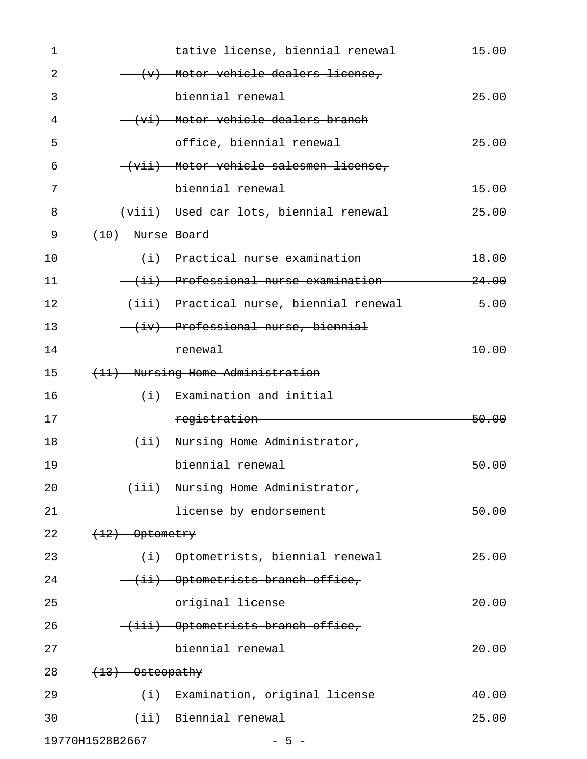| 1  | tative license, biennial renewal                                                                               | $-15.00$         |
|----|----------------------------------------------------------------------------------------------------------------|------------------|
| 2  | (v) Motor vehicle dealers license,                                                                             |                  |
| 3  |                                                                                                                | 25.00            |
| 4  | (vi) Motor vehicle dealers branch                                                                              |                  |
| 5  | office, biennial renewal                                                                                       | 25.00            |
| 6  | (vii) Motor vehicle salesmen license,                                                                          |                  |
| 7  |                                                                                                                | <del>15.00</del> |
| 8  | (viii) Used car lots, biennial renewal will be the control.                                                    | $-25.00$         |
| 9  | (10) Nurse Board                                                                                               |                  |
| 10 | (i) Practical nurse examination and the practical nurse examination                                            | <del>18.00</del> |
| 11 |                                                                                                                | 24.00            |
| 12 | (iii) Practical nurse, biennial renewal entro                                                                  | $-5.00$          |
| 13 | (iv) Professional nurse, biennial                                                                              |                  |
| 14 | <u>renewal</u>                                                                                                 | <del>10.00</del> |
| 15 | (11) Nursing Home Administration                                                                               |                  |
| 16 | (i) Examination and initial                                                                                    |                  |
| 17 | registration Testion                                                                                           | 50.00            |
| 18 | (ii) Nursing Home Administrator,                                                                               |                  |
| 19 | biennial renewal                                                                                               | <del>50.00</del> |
| 20 | (iii) Nursing Home Administrator,                                                                              |                  |
| 21 | license by endorsement                                                                                         | 50.00            |
| 22 | $(12)$ Optometry                                                                                               |                  |
| 23 | (i) Optometrists, biennial renewal                                                                             | $-25.00$         |
| 24 | (ii) Optometrists branch office,                                                                               |                  |
| 25 | original license                                                                                               | <del>20.00</del> |
| 26 | (iii) Optometrists branch office,                                                                              |                  |
| 27 |                                                                                                                | 20.00            |
| 28 | $\left(\frac{13}{2}\right)$ Osteopathy                                                                         |                  |
| 29 | (i) Examination, original license                                                                              | 40.00            |
| 30 | (ii) Biennial renewal entropy and the set of the set of the set of the set of the set of the set of the set of | 25.00            |
|    |                                                                                                                |                  |

19770H1528B2667 - 5 -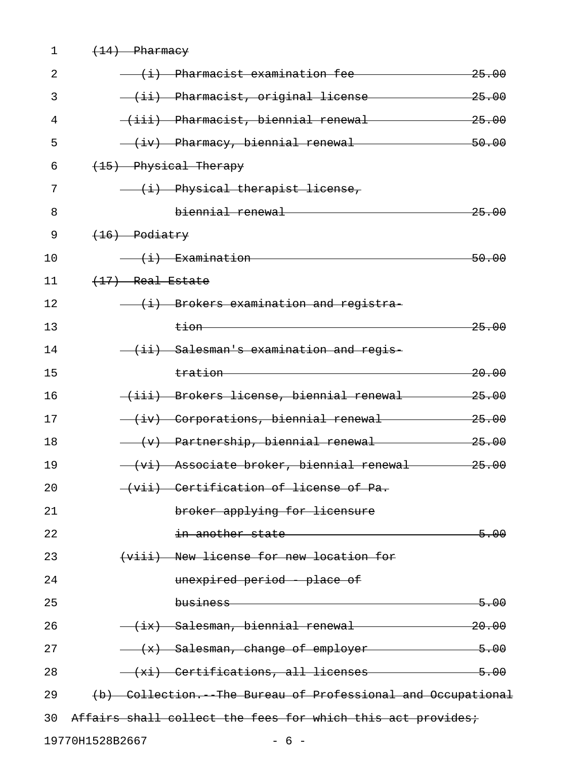| 1  | $(14)$ Pharmacy    |                                                             |                  |
|----|--------------------|-------------------------------------------------------------|------------------|
| 2  |                    | (i) Pharmacist examination fee                              | <del>25.00</del> |
| 3  |                    | <del>(ii) Pharmacist, original license</del>                | <del>25.00</del> |
| 4  |                    | (iii) Pharmacist, biennial renewal                          | 25.00            |
| 5  |                    | (iv) Pharmacy, biennial renewal                             | 50.00            |
| 6  |                    | (15) Physical Therapy                                       |                  |
| 7  |                    | (i) Physical therapist license,                             |                  |
| 8  |                    | biennial renewal                                            | <del>25.00</del> |
| 9  | $(16)$ Podiatry    |                                                             |                  |
| 10 |                    | <del>(i) Examination</del>                                  | 50.00            |
| 11 | $(17)$ Real Estate |                                                             |                  |
| 12 |                    | (i) Brokers examination and registra-                       |                  |
| 13 |                    | <del>tion — —</del>                                         | <del>25.00</del> |
| 14 |                    | (ii) Salesman's examination and regis-                      |                  |
| 15 |                    | tration —————                                               | <del>20.00</del> |
| 16 |                    | (iii) Brokers license, biennial renewal                     | 25.00            |
| 17 |                    | (iv) Corporations, biennial renewal                         | 25.00            |
| 18 |                    | (v) Partnership, biennial renewal                           | 25.00            |
| 19 |                    | (vi) Associate broker, biennial renewal                     | 25.00            |
| 20 |                    | (vii) Certification of license of Pa.                       |                  |
| 21 |                    | broker applying for licensure                               |                  |
| 22 |                    | in another state <b>contains the state</b>                  | $-5.00$          |
| 23 |                    | (viii) New license for new location for                     |                  |
| 24 |                    | unexpired period place of                                   |                  |
| 25 |                    |                                                             | <del>5.00</del>  |
| 26 |                    | (ix) Salesman, biennial renewal 20.00                       |                  |
| 27 |                    | (x) Salesman, change of employer 5.00                       |                  |
| 28 |                    | (xi) Certifications, all licenses 5.00                      |                  |
| 29 |                    | (b) Collection. The Bureau of Professional and Occupational |                  |
| 30 |                    | Affairs shall collect the fees for which this act provides; |                  |
|    | 19770H1528B2667    | $-6-$                                                       |                  |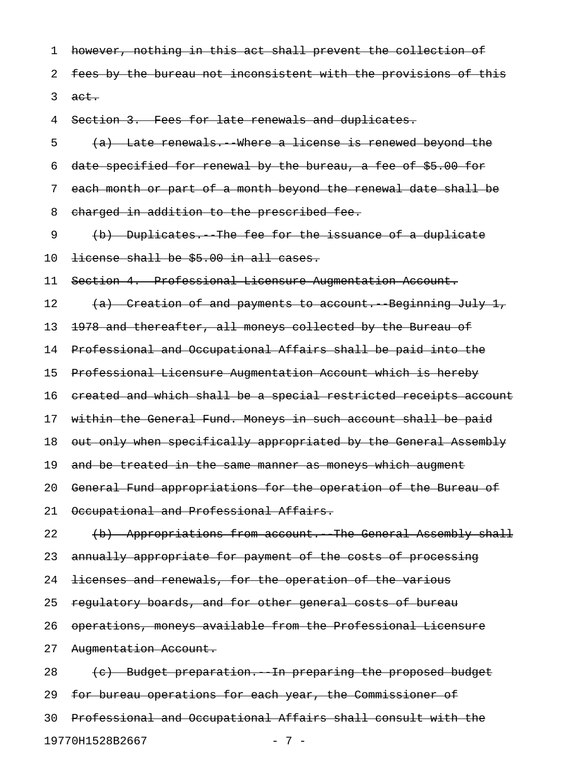1 however, nothing in this act shall prevent the collection of

2 fees by the bureau not inconsistent with the provisions of this  $3 \text{ aet.}$ 

4 Section 3. Fees for late renewals and duplicates.

 $\{a\}$  Late renewals. Where a license is renewed beyond the 6 date specified for renewal by the bureau, a fee of \$5.00 for 7 each month or part of a month beyond the renewal date shall be 8 charged in addition to the prescribed fee. 9 (b) Duplicates. The fee for the issuance of a duplicate 10 <del>license shall be \$5.00 in all cases.</del> 11 Section 4. Professional Licensure Augmentation Account. 12 (a) Creation of and payments to account. Beginning July 1, 13 1978 and thereafter, all moneys collected by the Bureau of 14 Professional and Occupational Affairs shall be paid into the 15 Professional Licensure Augmentation Account which is hereby 16 created and which shall be a special restricted receipts account 17 within the General Fund. Moneys in such account shall be paid 18 out only when specifically appropriated by the General Assembly 19 and be treated in the same manner as moneys which augment 20 General Fund appropriations for the operation of the Bureau of 21 Occupational and Professional Affairs. 22 (b) Appropriations from account. The General Assembly shall 23 annually appropriate for payment of the costs of processing 24 licenses and renewals, for the operation of the various 25 regulatory boards, and for other general costs of bureau 26 operations, moneys available from the Professional Licensure 27 Augmentation Account. 28 (c) Budget preparation. In preparing the proposed budget 29 for bureau operations for each year, the Commissioner of 30 Professional and Occupational Affairs shall consult with the

19770H1528B2667 - 7 -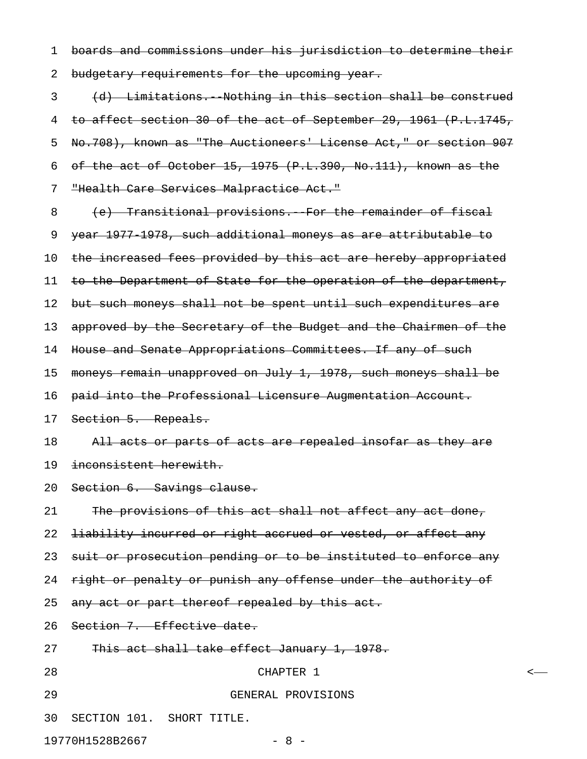1 boards and commissions under his jurisdiction to determine their 2 budgetary requirements for the upcoming year.

3 (d) Limitations.--Nothing in this section shall be construed 4 to affect section 30 of the act of September 29, 1961 (P.L.1745, 5 No.708), known as "The Auctioneers' License Act," or section 907 6 of the act of October 15, 1975 (P.L.390, No.111), known as the 7 "Health Care Services Malpractice Act."

8 (e) Transitional provisions. For the remainder of fiscal 9 year 1977-1978, such additional moneys as are attributable to 10 the increased fees provided by this act are hereby appropriated 11 to the Department of State for the operation of the department, 12 but such moneys shall not be spent until such expenditures are 13 approved by the Secretary of the Budget and the Chairmen of the 14 House and Senate Appropriations Committees. If any of such 15 moneys remain unapproved on July 1, 1978, such moneys shall be 16 paid into the Professional Licensure Augmentation Account. 17 Section 5. Repeals. 18 All acts or parts of acts are repealed insofar as they are 19 inconsistent herewith. 20 Section 6. Savings clause. 21 The provisions of this act shall not affect any act done, 22 <del>liability incurred or right accrued or vested, or affect any</del> 23 suit or prosecution pending or to be instituted to enforce any 24 right or penalty or punish any offense under the authority of 25 any act or part thereof repealed by this act. 26 Section 7. Effective date. 27 This act shall take effect January 1, 1978. 28 CHAPTER 1 < 29 GENERAL PROVISIONS

30 SECTION 101. SHORT TITLE.

19770H1528B2667 - 8 -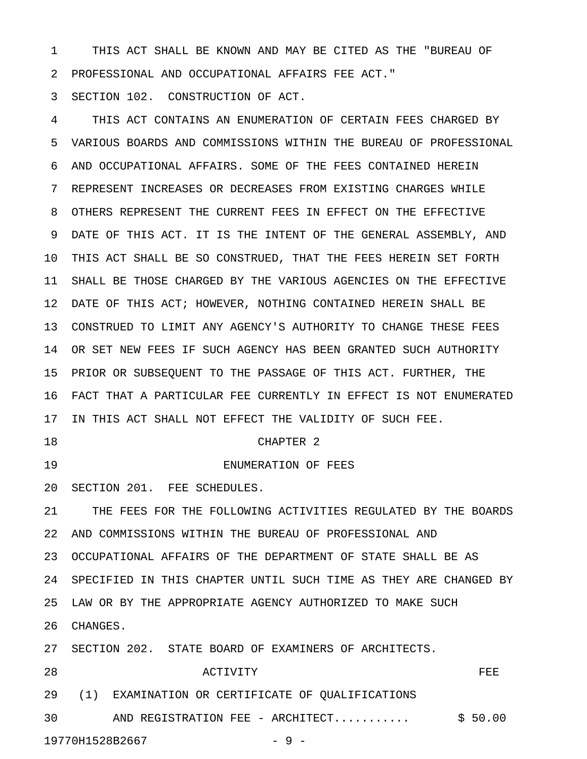1 THIS ACT SHALL BE KNOWN AND MAY BE CITED AS THE "BUREAU OF 2 PROFESSIONAL AND OCCUPATIONAL AFFAIRS FEE ACT."

3 SECTION 102. CONSTRUCTION OF ACT.

4 THIS ACT CONTAINS AN ENUMERATION OF CERTAIN FEES CHARGED BY 5 VARIOUS BOARDS AND COMMISSIONS WITHIN THE BUREAU OF PROFESSIONAL 6 AND OCCUPATIONAL AFFAIRS. SOME OF THE FEES CONTAINED HEREIN 7 REPRESENT INCREASES OR DECREASES FROM EXISTING CHARGES WHILE 8 OTHERS REPRESENT THE CURRENT FEES IN EFFECT ON THE EFFECTIVE 9 DATE OF THIS ACT. IT IS THE INTENT OF THE GENERAL ASSEMBLY, AND 10 THIS ACT SHALL BE SO CONSTRUED, THAT THE FEES HEREIN SET FORTH 11 SHALL BE THOSE CHARGED BY THE VARIOUS AGENCIES ON THE EFFECTIVE 12 DATE OF THIS ACT; HOWEVER, NOTHING CONTAINED HEREIN SHALL BE 13 CONSTRUED TO LIMIT ANY AGENCY'S AUTHORITY TO CHANGE THESE FEES 14 OR SET NEW FEES IF SUCH AGENCY HAS BEEN GRANTED SUCH AUTHORITY 15 PRIOR OR SUBSEQUENT TO THE PASSAGE OF THIS ACT. FURTHER, THE 16 FACT THAT A PARTICULAR FEE CURRENTLY IN EFFECT IS NOT ENUMERATED 17 IN THIS ACT SHALL NOT EFFECT THE VALIDITY OF SUCH FEE. 18 CHAPTER 2 19 ENUMERATION OF FEES 20 SECTION 201. FEE SCHEDULES. 21 THE FEES FOR THE FOLLOWING ACTIVITIES REGULATED BY THE BOARDS 22 AND COMMISSIONS WITHIN THE BUREAU OF PROFESSIONAL AND 23 OCCUPATIONAL AFFAIRS OF THE DEPARTMENT OF STATE SHALL BE AS 24 SPECIFIED IN THIS CHAPTER UNTIL SUCH TIME AS THEY ARE CHANGED BY 25 LAW OR BY THE APPROPRIATE AGENCY AUTHORIZED TO MAKE SUCH 26 CHANGES.

27 SECTION 202. STATE BOARD OF EXAMINERS OF ARCHITECTS.

28 ACTIVITY ACTIVITY

29 (1) EXAMINATION OR CERTIFICATE OF QUALIFICATIONS

30 AND REGISTRATION FEE - ARCHITECT........... \$ 50.00

19770H1528B2667 - 9 -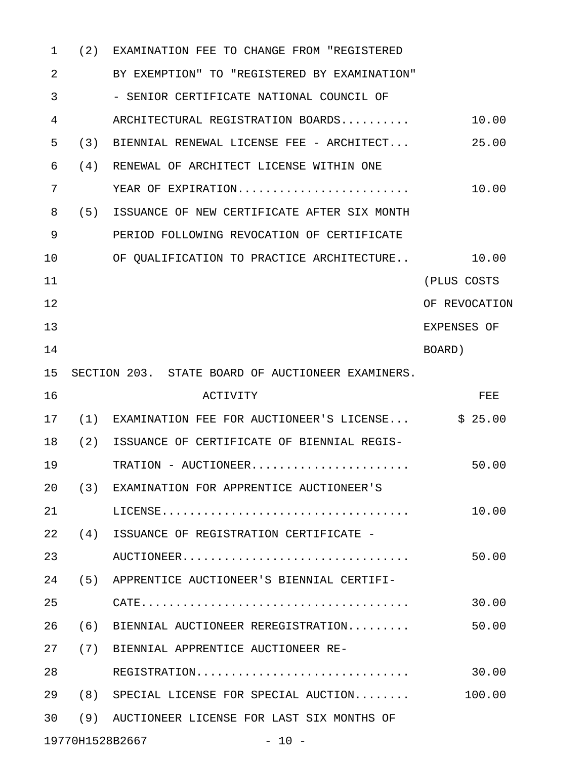| 1  | (2) | EXAMINATION FEE TO CHANGE FROM "REGISTERED                                                      |               |
|----|-----|-------------------------------------------------------------------------------------------------|---------------|
| 2  |     | BY EXEMPTION" TO "REGISTERED BY EXAMINATION"                                                    |               |
| 3  |     | - SENIOR CERTIFICATE NATIONAL COUNCIL OF                                                        |               |
| 4  |     | ARCHITECTURAL REGISTRATION BOARDS                                                               | 10.00         |
| 5  | (3) | BIENNIAL RENEWAL LICENSE FEE - ARCHITECT                                                        | 25.00         |
| 6  | (4) | RENEWAL OF ARCHITECT LICENSE WITHIN ONE                                                         |               |
| 7  |     | YEAR OF EXPIRATION                                                                              | 10.00         |
| 8  | (5) | ISSUANCE OF NEW CERTIFICATE AFTER SIX MONTH                                                     |               |
| 9  |     | PERIOD FOLLOWING REVOCATION OF CERTIFICATE                                                      |               |
| 10 |     | OF QUALIFICATION TO PRACTICE ARCHITECTURE                                                       | 10.00         |
| 11 |     |                                                                                                 | (PLUS COSTS   |
| 12 |     |                                                                                                 | OF REVOCATION |
| 13 |     |                                                                                                 | EXPENSES OF   |
| 14 |     |                                                                                                 | BOARD)        |
| 15 |     | SECTION 203. STATE BOARD OF AUCTIONEER EXAMINERS.                                               |               |
| 16 |     | <b>ACTIVITY</b>                                                                                 | FEE           |
| 17 | (1) | EXAMINATION FEE FOR AUCTIONEER'S LICENSE                                                        | \$25.00       |
| 18 | (2) | ISSUANCE OF CERTIFICATE OF BIENNIAL REGIS-                                                      |               |
| 19 |     |                                                                                                 | 50.00         |
| 20 |     | (3) EXAMINATION FOR APPRENTICE AUCTIONEER'S                                                     |               |
| 21 |     | $\text{LICENSE.} \dots \dots \dots \dots \dots \dots \dots \dots \dots \dots \dots \dots \dots$ | 10.00         |
| 22 | (4) | ISSUANCE OF REGISTRATION CERTIFICATE -                                                          |               |
| 23 |     | AUCTIONEER                                                                                      | 50.00         |
| 24 | (5) | APPRENTICE AUCTIONEER'S BIENNIAL CERTIFI-                                                       |               |
| 25 |     |                                                                                                 | 30.00         |
| 26 | (6) | BIENNIAL AUCTIONEER REREGISTRATION                                                              | 50.00         |
| 27 | (7) | BIENNIAL APPRENTICE AUCTIONEER RE-                                                              |               |
| 28 |     | REGISTRATION                                                                                    | 30.00         |
| 29 |     | (8) SPECIAL LICENSE FOR SPECIAL AUCTION                                                         | 100.00        |
| 30 | (9) | AUCTIONEER LICENSE FOR LAST SIX MONTHS OF                                                       |               |
|    |     | 19770H1528B2667<br>$-10 -$                                                                      |               |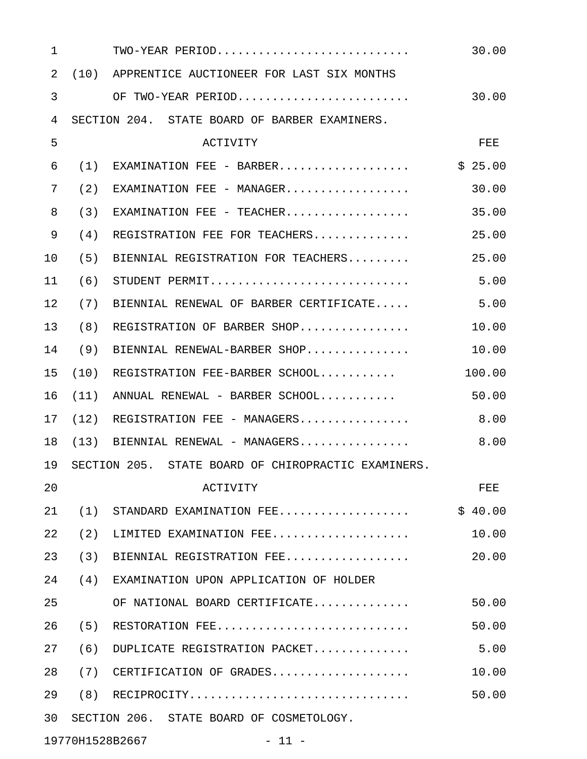| $\mathbf 1$ |     | TWO-YEAR PERIOD                                     | 30.00   |
|-------------|-----|-----------------------------------------------------|---------|
| 2           |     | (10) APPRENTICE AUCTIONEER FOR LAST SIX MONTHS      |         |
| 3           |     | OF TWO-YEAR PERIOD                                  | 30.00   |
| 4           |     | SECTION 204. STATE BOARD OF BARBER EXAMINERS.       |         |
| 5           |     | <b>ACTIVITY</b>                                     | FEE     |
| 6           | (1) | EXAMINATION FEE - BARBER                            | \$25.00 |
| 7           | (2) | EXAMINATION FEE - MANAGER                           | 30.00   |
| 8           | (3) | EXAMINATION FEE - TEACHER                           | 35.00   |
| 9           | (4) | REGISTRATION FEE FOR TEACHERS                       | 25.00   |
| 10          | (5) | BIENNIAL REGISTRATION FOR TEACHERS                  | 25.00   |
| 11          | (6) | STUDENT PERMIT                                      | 5.00    |
| 12          | (7) | BIENNIAL RENEWAL OF BARBER CERTIFICATE              | 5.00    |
| 13          | (8) | REGISTRATION OF BARBER SHOP                         | 10.00   |
| 14          | (9) | BIENNIAL RENEWAL-BARBER SHOP                        | 10.00   |
| 15          |     | $(10)$ REGISTRATION FEE-BARBER SCHOOL               | 100.00  |
| 16          |     | $(11)$ ANNUAL RENEWAL - BARBER SCHOOL               | 50.00   |
| 17          |     | $(12)$ REGISTRATION FEE - MANAGERS                  | 8.00    |
| 18          |     | $(13)$ BIENNIAL RENEWAL - MANAGERS                  | 8.00    |
| 19          |     | SECTION 205. STATE BOARD OF CHIROPRACTIC EXAMINERS. |         |
| 20          |     | ACTIVITY                                            | FEE     |
| 21          | (1) | STANDARD EXAMINATION FEE                            | \$40.00 |
| 22          | (2) | LIMITED EXAMINATION FEE                             | 10.00   |
| 23          | (3) | BIENNIAL REGISTRATION FEE                           | 20.00   |
| 24          | (4) | EXAMINATION UPON APPLICATION OF HOLDER              |         |
| 25          |     | OF NATIONAL BOARD CERTIFICATE                       | 50.00   |
| 26          | (5) | RESTORATION FEE                                     | 50.00   |
| 27          | (6) | DUPLICATE REGISTRATION PACKET                       | 5.00    |
| 28          | (7) | CERTIFICATION OF GRADES                             | 10.00   |
| 29          | (8) | RECIPROCITY                                         | 50.00   |
| 30          |     | SECTION 206. STATE BOARD OF COSMETOLOGY.            |         |
|             |     |                                                     |         |

19770H1528B2667 - 11 -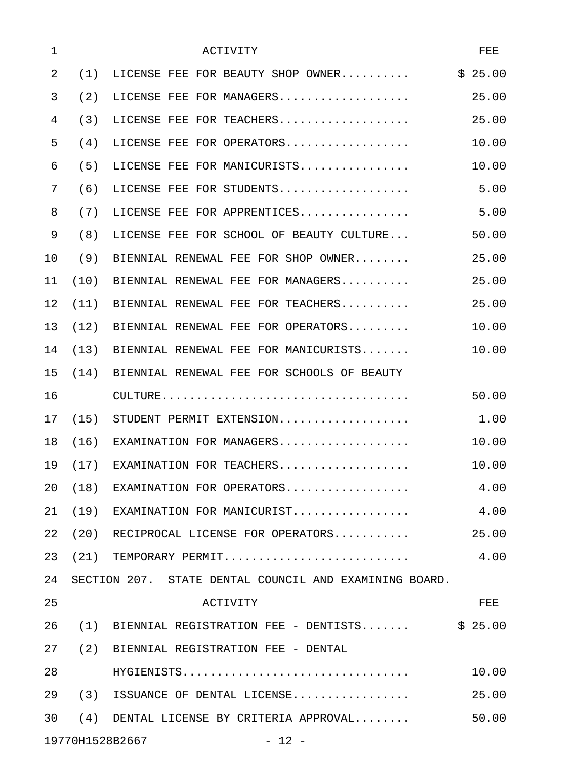| 1  |      | ACTIVITY                                               | FEE     |
|----|------|--------------------------------------------------------|---------|
| 2  | (1)  | LICENSE FEE FOR BEAUTY SHOP OWNER                      | \$25.00 |
| 3  | (2)  | LICENSE FEE FOR MANAGERS                               | 25.00   |
| 4  | (3)  | LICENSE FEE FOR TEACHERS                               | 25.00   |
| 5  | (4)  | LICENSE FEE FOR OPERATORS                              | 10.00   |
| 6  | (5)  | LICENSE FEE FOR MANICURISTS                            | 10.00   |
| 7  | (6)  | LICENSE FEE FOR STUDENTS                               | 5.00    |
| 8  | (7)  | LICENSE FEE FOR APPRENTICES                            | 5.00    |
| 9  | (8)  | LICENSE FEE FOR SCHOOL OF BEAUTY CULTURE               | 50.00   |
| 10 | (9)  | BIENNIAL RENEWAL FEE FOR SHOP OWNER                    | 25.00   |
| 11 | (10) | BIENNIAL RENEWAL FEE FOR MANAGERS                      | 25.00   |
| 12 |      | $(11)$ BIENNIAL RENEWAL FEE FOR TEACHERS               | 25.00   |
| 13 | (12) | BIENNIAL RENEWAL FEE FOR OPERATORS                     | 10.00   |
| 14 |      | $(13)$ BIENNIAL RENEWAL FEE FOR MANICURISTS            | 10.00   |
| 15 |      | (14) BIENNIAL RENEWAL FEE FOR SCHOOLS OF BEAUTY        |         |
| 16 |      |                                                        | 50.00   |
| 17 |      | (15) STUDENT PERMIT EXTENSION                          | 1.00    |
| 18 |      | $(16)$ EXAMINATION FOR MANAGERS                        | 10.00   |
| 19 |      | (17) EXAMINATION FOR TEACHERS                          | 10.00   |
| 20 |      | $(18)$ EXAMINATION FOR OPERATORS                       | 4.00    |
| 21 |      | $(19)$ EXAMINATION FOR MANICURIST                      | 4.00    |
| 22 |      | $(20)$ RECIPROCAL LICENSE FOR OPERATORS                | 25.00   |
| 23 |      | $(21)$ TEMPORARY PERMIT                                | 4.00    |
| 24 |      | SECTION 207. STATE DENTAL COUNCIL AND EXAMINING BOARD. |         |
| 25 |      | <b>ACTIVITY</b>                                        | FEE     |
| 26 |      | $(1)$ BIENNIAL REGISTRATION FEE - DENTISTS             | \$25.00 |
| 27 |      | (2) BIENNIAL REGISTRATION FEE - DENTAL                 |         |
| 28 |      | HYGIENISTS                                             | 10.00   |
| 29 |      | $(3)$ ISSUANCE OF DENTAL LICENSE                       | 25.00   |
| 30 |      | $(4)$ DENTAL LICENSE BY CRITERIA APPROVAL              | 50.00   |
|    |      | 19770H1528B2667<br>$-12 -$                             |         |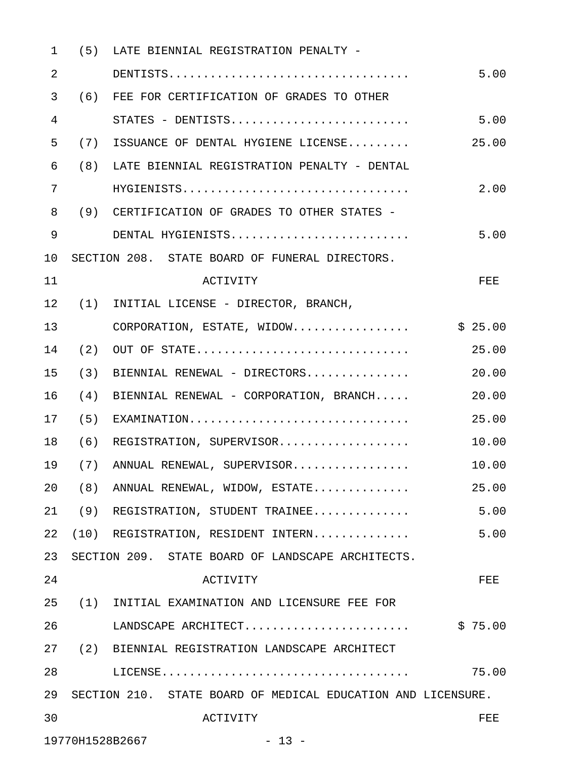| $\mathbf{1}$ |     | (5) LATE BIENNIAL REGISTRATION PENALTY -                     |            |
|--------------|-----|--------------------------------------------------------------|------------|
| 2            |     |                                                              | 5.00       |
| 3            |     | (6) FEE FOR CERTIFICATION OF GRADES TO OTHER                 |            |
| 4            |     | STATES - DENTISTS                                            | 5.00       |
| 5            |     | (7) ISSUANCE OF DENTAL HYGIENE LICENSE                       | 25.00      |
| 6            |     | (8) LATE BIENNIAL REGISTRATION PENALTY - DENTAL              |            |
| 7            |     | HYGIENISTS                                                   | 2.00       |
| 8            |     | (9) CERTIFICATION OF GRADES TO OTHER STATES -                |            |
| 9            |     | DENTAL HYGIENISTS                                            | 5.00       |
| 10           |     | SECTION 208. STATE BOARD OF FUNERAL DIRECTORS.               |            |
| 11           |     | ACTIVITY                                                     | <b>FEE</b> |
| 12           |     | (1) INITIAL LICENSE - DIRECTOR, BRANCH,                      |            |
| 13           |     | CORPORATION, ESTATE, WIDOW                                   | \$25.00    |
| 14           |     | $(2)$ OUT OF STATE                                           | 25.00      |
| 15           |     | $(3)$ BIENNIAL RENEWAL - DIRECTORS                           | 20.00      |
| 16           | (4) | BIENNIAL RENEWAL - CORPORATION, BRANCH                       | 20.00      |
| 17           |     | $(5)$ EXAMINATION                                            | 25.00      |
| 18           |     | (6) REGISTRATION, SUPERVISOR                                 | 10.00      |
| 19           |     | (7) ANNUAL RENEWAL, SUPERVISOR                               | 10.00      |
| 20           |     | (8) ANNUAL RENEWAL, WIDOW, ESTATE                            | 25.00      |
| 21           | (9) | REGISTRATION, STUDENT TRAINEE                                | 5.00       |
| 22           |     | (10) REGISTRATION, RESIDENT INTERN                           | 5.00       |
| 23           |     | SECTION 209. STATE BOARD OF LANDSCAPE ARCHITECTS.            |            |
| 24           |     | <b>ACTIVITY</b>                                              | FEE        |
| 25           |     | (1) INITIAL EXAMINATION AND LICENSURE FEE FOR                |            |
| 26           |     | LANDSCAPE ARCHITECT                                          | \$75.00    |
| 27           |     | (2) BIENNIAL REGISTRATION LANDSCAPE ARCHITECT                |            |
| 28           |     |                                                              | 75.00      |
| 29           |     | SECTION 210. STATE BOARD OF MEDICAL EDUCATION AND LICENSURE. |            |
| 30           |     | ACTIVITY                                                     | FEE.       |
|              |     | 19770H1528B2667<br>$-13 -$                                   |            |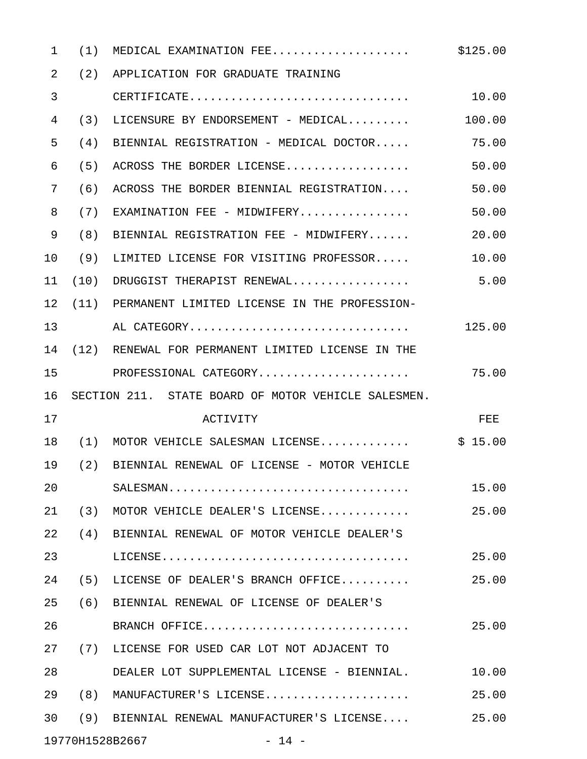| $\mathbf{1}$ | (1) | MEDICAL EXAMINATION FEE                                                         | \$125.00 |
|--------------|-----|---------------------------------------------------------------------------------|----------|
| 2            | (2) | APPLICATION FOR GRADUATE TRAINING                                               |          |
| 3            |     | $\texttt{CERTIFICATE} \dots\dots\dots\dots\dots\dots\dots\dots\dots\dots \dots$ | 10.00    |
| 4            | (3) | LICENSURE BY ENDORSEMENT - MEDICAL                                              | 100.00   |
| 5            | (4) | BIENNIAL REGISTRATION - MEDICAL DOCTOR                                          | 75.00    |
| 6            | (5) | ACROSS THE BORDER LICENSE                                                       | 50.00    |
| 7            | (6) | ACROSS THE BORDER BIENNIAL REGISTRATION                                         | 50.00    |
| 8            | (7) | $EXAMINATION$ FEE - MIDWIFERY                                                   | 50.00    |
| 9            | (8) | BIENNIAL REGISTRATION FEE - MIDWIFERY                                           | 20.00    |
| 10           | (9) | LIMITED LICENSE FOR VISITING PROFESSOR                                          | 10.00    |
| 11           |     | $(10)$ DRUGGIST THERAPIST RENEWAL                                               | 5.00     |
| 12           |     | (11) PERMANENT LIMITED LICENSE IN THE PROFESSION-                               |          |
| 13           |     | AL CATEGORY                                                                     | 125.00   |
| 14           |     | (12) RENEWAL FOR PERMANENT LIMITED LICENSE IN THE                               |          |
| 15           |     |                                                                                 | 75.00    |
| 16           |     | SECTION 211. STATE BOARD OF MOTOR VEHICLE SALESMEN.                             |          |
| 17           |     | <b>ACTIVITY</b>                                                                 | FEE      |
| 18           |     | $(1)$ MOTOR VEHICLE SALESMAN LICENSE                                            | \$15.00  |
| 19           |     | (2) BIENNIAL RENEWAL OF LICENSE - MOTOR VEHICLE                                 |          |
| 20           |     |                                                                                 | 15.00    |
| 21           | (3) | MOTOR VEHICLE DEALER'S LICENSE                                                  | 25.00    |
| 22           | (4) | BIENNIAL RENEWAL OF MOTOR VEHICLE DEALER'S                                      |          |
| 23           |     |                                                                                 | 25.00    |
| 24           | (5) | LICENSE OF DEALER'S BRANCH OFFICE                                               | 25.00    |
| 25           | (6) | BIENNIAL RENEWAL OF LICENSE OF DEALER'S                                         |          |
| 26           |     | BRANCH OFFICE                                                                   | 25.00    |
| 27           |     | (7) LICENSE FOR USED CAR LOT NOT ADJACENT TO                                    |          |
| 28           |     | DEALER LOT SUPPLEMENTAL LICENSE - BIENNIAL.                                     | 10.00    |
| 29           | (8) | MANUFACTURER'S LICENSE                                                          | 25.00    |
|              |     |                                                                                 |          |
| 30           | (9) | BIENNIAL RENEWAL MANUFACTURER'S LICENSE                                         | 25.00    |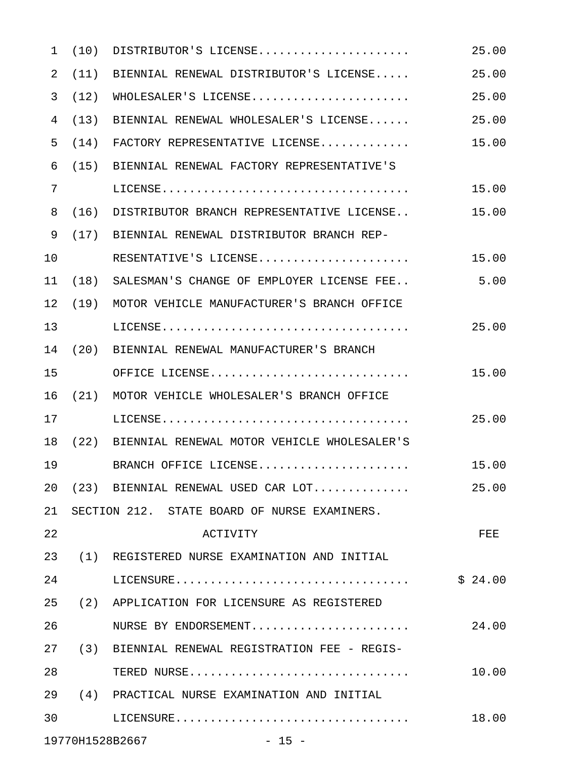| $\mathbf{1}$ | (10) | $\texttt{DISTRIBUTOR'S}\texttt{ LICENSE} \dots \dots \dots \dots \dots \dots \dots$ | 25.00   |
|--------------|------|-------------------------------------------------------------------------------------|---------|
| 2            | (11) | BIENNIAL RENEWAL DISTRIBUTOR'S LICENSE                                              | 25.00   |
| 3            | (12) | WHOLESALER'S LICENSE                                                                | 25.00   |
| 4            | (13) | BIENNIAL RENEWAL WHOLESALER'S LICENSE                                               | 25.00   |
| 5            | (14) | FACTORY REPRESENTATIVE LICENSE                                                      | 15.00   |
| 6            |      | (15) BIENNIAL RENEWAL FACTORY REPRESENTATIVE'S                                      |         |
| 7            |      |                                                                                     | 15.00   |
| 8            | (16) | DISTRIBUTOR BRANCH REPRESENTATIVE LICENSE                                           | 15.00   |
| 9            |      | (17) BIENNIAL RENEWAL DISTRIBUTOR BRANCH REP-                                       |         |
| 10           |      | RESENTATIVE'S LICENSE                                                               | 15.00   |
| 11           |      | (18) SALESMAN'S CHANGE OF EMPLOYER LICENSE FEE                                      | 5.00    |
| 12           |      | (19) MOTOR VEHICLE MANUFACTURER'S BRANCH OFFICE                                     |         |
| 13           |      |                                                                                     | 25.00   |
| 14           |      | (20) BIENNIAL RENEWAL MANUFACTURER'S BRANCH                                         |         |
| 15           |      | OFFICE LICENSE                                                                      | 15.00   |
| 16           |      | (21) MOTOR VEHICLE WHOLESALER'S BRANCH OFFICE                                       |         |
| 17           |      |                                                                                     | 25.00   |
| 18           |      | (22) BIENNIAL RENEWAL MOTOR VEHICLE WHOLESALER'S                                    |         |
| 19           |      | BRANCH OFFICE LICENSE                                                               | 15.00   |
| 20           |      | (23) BIENNIAL RENEWAL USED CAR LOT                                                  | 25.00   |
| 21           |      | SECTION 212. STATE BOARD OF NURSE EXAMINERS.                                        |         |
| 22           |      | <b>ACTIVITY</b>                                                                     | FEE     |
| 23           |      | (1) REGISTERED NURSE EXAMINATION AND INITIAL                                        |         |
| 24           |      |                                                                                     | \$24.00 |
| 25           |      | (2) APPLICATION FOR LICENSURE AS REGISTERED                                         |         |
| 26           |      | NURSE BY ENDORSEMENT                                                                | 24.00   |
| 27           |      | (3) BIENNIAL RENEWAL REGISTRATION FEE - REGIS-                                      |         |
| 28           |      | TERED NURSE                                                                         | 10.00   |
| 29           |      | (4) PRACTICAL NURSE EXAMINATION AND INITIAL                                         |         |
| 30           |      |                                                                                     | 18.00   |
|              |      | 19770H1528B2667<br>$-15 -$                                                          |         |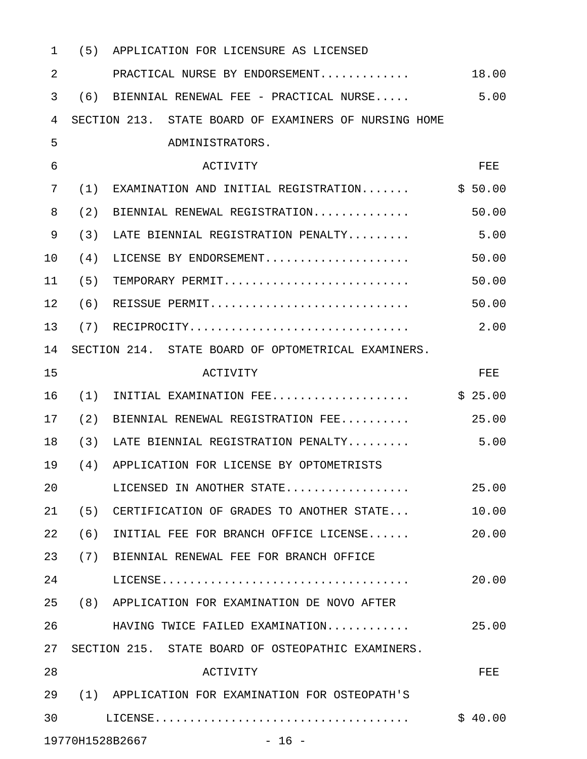| $\mathbf 1$    | (5) | APPLICATION FOR LICENSURE AS LICENSED                 |         |
|----------------|-----|-------------------------------------------------------|---------|
| $\overline{2}$ |     | PRACTICAL NURSE BY ENDORSEMENT                        | 18.00   |
| 3              | (6) | BIENNIAL RENEWAL FEE - PRACTICAL NURSE                | 5.00    |
| 4              |     | SECTION 213. STATE BOARD OF EXAMINERS OF NURSING HOME |         |
| 5              |     | ADMINISTRATORS.                                       |         |
| 6              |     | ACTIVITY                                              | FEE     |
| 7              | (1) | EXAMINATION AND INITIAL REGISTRATION                  | \$50.00 |
| 8              | (2) | BIENNIAL RENEWAL REGISTRATION                         | 50.00   |
| 9              | (3) | LATE BIENNIAL REGISTRATION PENALTY                    | 5.00    |
| 10             | (4) | LICENSE BY ENDORSEMENT                                | 50.00   |
| 11             | (5) | TEMPORARY PERMIT                                      | 50.00   |
| 12             | (6) | REISSUE PERMIT                                        | 50.00   |
| 13             | (7) | RECIPROCITY                                           | 2.00    |
| 14             |     | SECTION 214. STATE BOARD OF OPTOMETRICAL EXAMINERS.   |         |
| 15             |     | <b>ACTIVITY</b>                                       | FEE     |
| 16             | (1) | INITIAL EXAMINATION FEE                               | \$25.00 |
| 17             | (2) | BIENNIAL RENEWAL REGISTRATION FEE                     | 25.00   |
| 18             | (3) | LATE BIENNIAL REGISTRATION PENALTY                    | 5.00    |
| 19             | (4) | APPLICATION FOR LICENSE BY OPTOMETRISTS               |         |
| 20             |     | LICENSED IN ANOTHER STATE                             | 25.00   |
| 21             |     | (5) CERTIFICATION OF GRADES TO ANOTHER STATE          | 10.00   |
| 22             |     | $(6)$ INITIAL FEE FOR BRANCH OFFICE LICENSE           | 20.00   |
| 23             |     | (7) BIENNIAL RENEWAL FEE FOR BRANCH OFFICE            |         |
| 24             |     |                                                       | 20.00   |
| 25             |     | (8) APPLICATION FOR EXAMINATION DE NOVO AFTER         |         |
| 26             |     | HAVING TWICE FAILED EXAMINATION                       | 25.00   |
| 27             |     | SECTION 215. STATE BOARD OF OSTEOPATHIC EXAMINERS.    |         |
| 28             |     | ACTIVITY                                              | FEE     |
| 29             |     | (1) APPLICATION FOR EXAMINATION FOR OSTEOPATH'S       |         |
| 30             |     |                                                       | \$40.00 |
|                |     | 19770H1528B2667<br>$-16$ -                            |         |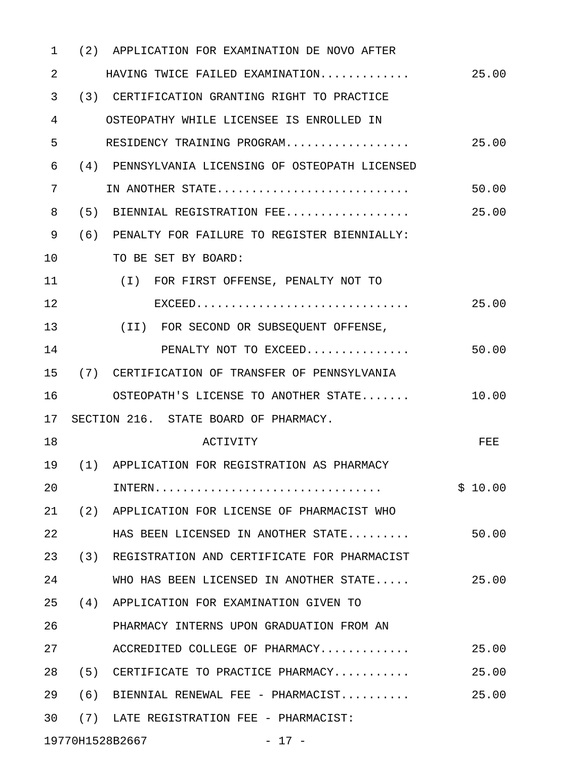| $\mathbf{1}$ |     | (2) APPLICATION FOR EXAMINATION DE NOVO AFTER    |         |
|--------------|-----|--------------------------------------------------|---------|
| 2            |     | HAVING TWICE FAILED EXAMINATION                  | 25.00   |
| 3            |     | (3) CERTIFICATION GRANTING RIGHT TO PRACTICE     |         |
| 4            |     | OSTEOPATHY WHILE LICENSEE IS ENROLLED IN         |         |
| 5            |     | RESIDENCY TRAINING PROGRAM                       | 25.00   |
| 6            |     | (4) PENNSYLVANIA LICENSING OF OSTEOPATH LICENSED |         |
| 7            |     | IN ANOTHER STATE                                 | 50.00   |
| 8            |     | (5) BIENNIAL REGISTRATION FEE                    | 25.00   |
| 9            |     | (6) PENALTY FOR FAILURE TO REGISTER BIENNIALLY:  |         |
| 10           |     | TO BE SET BY BOARD:                              |         |
| 11           |     | (I) FOR FIRST OFFENSE, PENALTY NOT TO            |         |
| 12           |     |                                                  | 25.00   |
| 13           |     | (II) FOR SECOND OR SUBSEQUENT OFFENSE,           |         |
| 14           |     | PENALTY NOT TO EXCEED                            | 50.00   |
| 15           |     | (7) CERTIFICATION OF TRANSFER OF PENNSYLVANIA    |         |
| 16           |     | OSTEOPATH'S LICENSE TO ANOTHER STATE             | 10.00   |
| 17           |     | SECTION 216. STATE BOARD OF PHARMACY.            |         |
| 18           |     | <b>ACTIVITY</b>                                  | FEE     |
| 19           |     | (1) APPLICATION FOR REGISTRATION AS PHARMACY     |         |
| 20           |     |                                                  | \$10.00 |
| 21           |     | (2) APPLICATION FOR LICENSE OF PHARMACIST WHO    |         |
| 22           |     | HAS BEEN LICENSED IN ANOTHER STATE               | 50.00   |
| 23           |     | (3) REGISTRATION AND CERTIFICATE FOR PHARMACIST  |         |
| 24           |     | WHO HAS BEEN LICENSED IN ANOTHER STATE           | 25.00   |
| 25           |     | (4) APPLICATION FOR EXAMINATION GIVEN TO         |         |
| 26           |     | PHARMACY INTERNS UPON GRADUATION FROM AN         |         |
| 27           |     | ACCREDITED COLLEGE OF PHARMACY                   | 25.00   |
| 28           |     | (5) CERTIFICATE TO PRACTICE PHARMACY             | 25.00   |
| 29           | (6) | BIENNIAL RENEWAL FEE - PHARMACIST                | 25.00   |
| 30           |     | (7) LATE REGISTRATION FEE - PHARMACIST:          |         |
|              |     |                                                  |         |

19770H1528B2667 - 17 -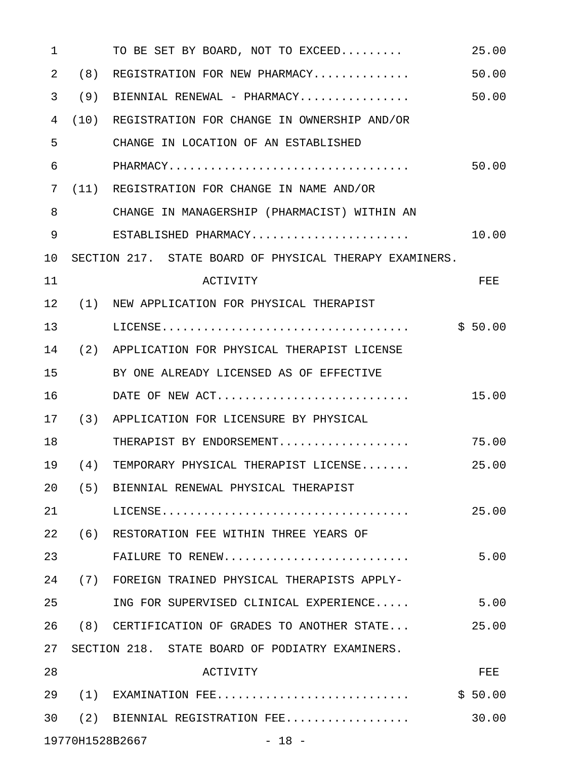| $\mathbf 1$ |     | TO BE SET BY BOARD, NOT TO EXCEED                                                   | 25.00      |
|-------------|-----|-------------------------------------------------------------------------------------|------------|
| 2           | (8) | REGISTRATION FOR NEW PHARMACY                                                       | 50.00      |
| 3           | (9) | BIENNIAL RENEWAL - PHARMACY                                                         | 50.00      |
| 4           |     | (10) REGISTRATION FOR CHANGE IN OWNERSHIP AND/OR                                    |            |
| 5           |     | CHANGE IN LOCATION OF AN ESTABLISHED                                                |            |
| 6           |     |                                                                                     | 50.00      |
| 7           |     | (11) REGISTRATION FOR CHANGE IN NAME AND/OR                                         |            |
| 8           |     | CHANGE IN MANAGERSHIP (PHARMACIST) WITHIN AN                                        |            |
| 9           |     | ESTABLISHED PHARMACY                                                                | 10.00      |
| 10          |     | SECTION 217. STATE BOARD OF PHYSICAL THERAPY EXAMINERS.                             |            |
| 11          |     | ACTIVITY                                                                            | <b>FEE</b> |
| 12          |     | (1) NEW APPLICATION FOR PHYSICAL THERAPIST                                          |            |
| 13          |     | $\texttt{LICENSE}\dots\dots\dots\dots\dots\dots\dots\dots\dots\dots\dots\dots\dots$ | \$50.00    |
| 14          |     | (2) APPLICATION FOR PHYSICAL THERAPIST LICENSE                                      |            |
| 15          |     | BY ONE ALREADY LICENSED AS OF EFFECTIVE                                             |            |
| 16          |     | DATE OF NEW ACT                                                                     | 15.00      |
| 17          |     | (3) APPLICATION FOR LICENSURE BY PHYSICAL                                           |            |
| 18          |     | THERAPIST BY ENDORSEMENT                                                            | 75.00      |
| 19          |     | (4) TEMPORARY PHYSICAL THERAPIST LICENSE                                            | 25.00      |
| 20          |     | (5) BIENNIAL RENEWAL PHYSICAL THERAPIST                                             |            |
| 21          |     |                                                                                     | 25.00      |
| 22          |     | (6) RESTORATION FEE WITHIN THREE YEARS OF                                           |            |
| 23          |     | FAILURE TO RENEW                                                                    | 5.00       |
| 24          |     | (7) FOREIGN TRAINED PHYSICAL THERAPISTS APPLY-                                      |            |
| 25          |     | ING FOR SUPERVISED CLINICAL EXPERIENCE                                              | 5.00       |
| 26          |     | (8) CERTIFICATION OF GRADES TO ANOTHER STATE                                        | 25.00      |
| 27          |     | SECTION 218. STATE BOARD OF PODIATRY EXAMINERS.                                     |            |
| 28          |     | <b>ACTIVITY</b>                                                                     | FEE        |
| 29          |     | $(1)$ EXAMINATION FEE                                                               | \$50.00    |
| 30          |     | $(2)$ BIENNIAL REGISTRATION FEE                                                     | 30.00      |
|             |     | 19770H1528B2667<br>$-18 -$                                                          |            |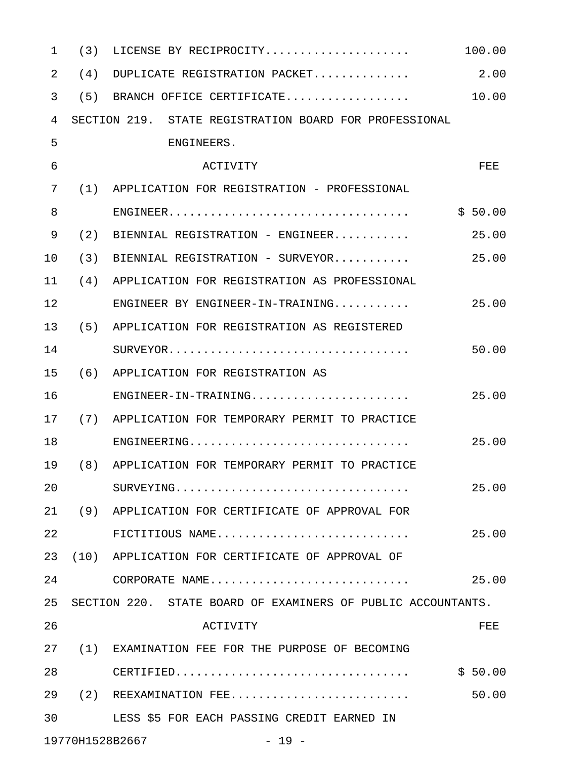| $\mathbf{1}$ | (3) | LICENSE BY RECIPROCITY                                       | 100.00  |
|--------------|-----|--------------------------------------------------------------|---------|
| 2            | (4) | DUPLICATE REGISTRATION PACKET                                | 2.00    |
| 3            |     | (5) BRANCH OFFICE CERTIFICATE                                | 10.00   |
| 4            |     | SECTION 219. STATE REGISTRATION BOARD FOR PROFESSIONAL       |         |
| 5            |     | ENGINEERS.                                                   |         |
| 6            |     | <b>ACTIVITY</b>                                              | FEE     |
| 7            |     | (1) APPLICATION FOR REGISTRATION - PROFESSIONAL              |         |
| 8            |     |                                                              | \$50.00 |
| 9            | (2) | BIENNIAL REGISTRATION - ENGINEER                             | 25.00   |
| 10           |     | $(3)$ BIENNIAL REGISTRATION - SURVEYOR                       | 25.00   |
| 11           |     | (4) APPLICATION FOR REGISTRATION AS PROFESSIONAL             |         |
| 12           |     | ENGINEER BY ENGINEER-IN-TRAINING                             | 25.00   |
| 13           |     | (5) APPLICATION FOR REGISTRATION AS REGISTERED               |         |
| 14           |     |                                                              | 50.00   |
| 15           |     | (6) APPLICATION FOR REGISTRATION AS                          |         |
| 16           |     | ENGINEER-IN-TRAINING                                         | 25.00   |
| 17           |     | (7) APPLICATION FOR TEMPORARY PERMIT TO PRACTICE             |         |
| 18           |     | ENGINEERING                                                  | 25.00   |
| 19           |     | (8) APPLICATION FOR TEMPORARY PERMIT TO PRACTICE             |         |
| 20           |     |                                                              | 25.00   |
| 21           |     | (9) APPLICATION FOR CERTIFICATE OF APPROVAL FOR              |         |
| 22           |     | FICTITIOUS NAME                                              | 25.00   |
| 23           |     | (10) APPLICATION FOR CERTIFICATE OF APPROVAL OF              |         |
| 24           |     | CORPORATE NAME                                               | 25.00   |
| 25           |     | SECTION 220. STATE BOARD OF EXAMINERS OF PUBLIC ACCOUNTANTS. |         |
| 26           |     | ACTIVITY                                                     | FEE.    |
| 27           |     | (1) EXAMINATION FEE FOR THE PURPOSE OF BECOMING              |         |
| 28           |     | $CERTIFIED.$                                                 | \$50.00 |
| 29           |     | $(2)$ REEXAMINATION FEE                                      | 50.00   |
| 30           |     | LESS \$5 FOR EACH PASSING CREDIT EARNED IN                   |         |
|              |     | 19770H1528B2667<br>$-19 -$                                   |         |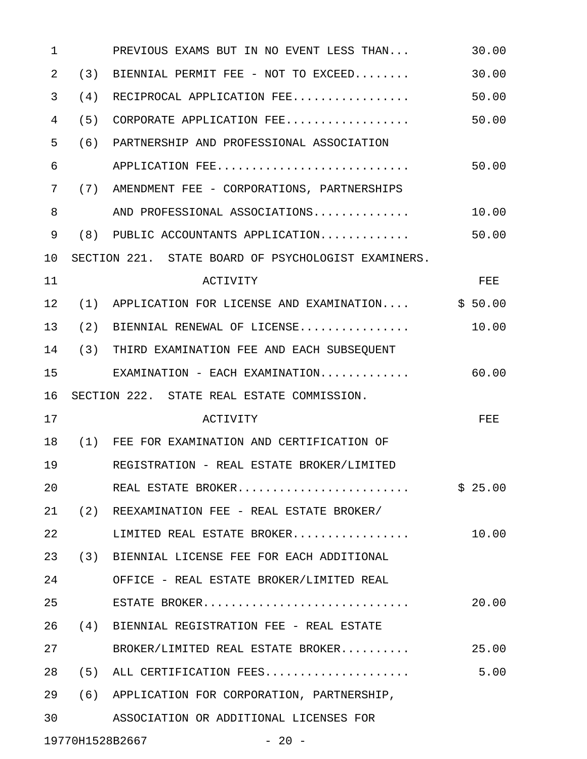| 1  |     | PREVIOUS EXAMS BUT IN NO EVENT LESS THAN            | 30.00   |
|----|-----|-----------------------------------------------------|---------|
| 2  | (3) | BIENNIAL PERMIT FEE - NOT TO EXCEED                 | 30.00   |
| 3  | (4) | RECIPROCAL APPLICATION FEE                          | 50.00   |
| 4  |     | $(5)$ CORPORATE APPLICATION FEE                     | 50.00   |
| 5  |     | (6) PARTNERSHIP AND PROFESSIONAL ASSOCIATION        |         |
| 6  |     | APPLICATION FEE                                     | 50.00   |
| 7  |     | (7) AMENDMENT FEE - CORPORATIONS, PARTNERSHIPS      |         |
| 8  |     | AND PROFESSIONAL ASSOCIATIONS                       | 10.00   |
| 9  |     | $(8)$ PUBLIC ACCOUNTANTS APPLICATION                | 50.00   |
| 10 |     | SECTION 221. STATE BOARD OF PSYCHOLOGIST EXAMINERS. |         |
| 11 |     | <b>ACTIVITY</b>                                     | FEE     |
| 12 |     | (1) APPLICATION FOR LICENSE AND EXAMINATION         | \$50.00 |
| 13 |     | $(2)$ BIENNIAL RENEWAL OF LICENSE                   | 10.00   |
| 14 |     | (3) THIRD EXAMINATION FEE AND EACH SUBSEQUENT       |         |
| 15 |     | $EXAMINATION - EACH EXAMINATION$                    | 60.00   |
| 16 |     | SECTION 222. STATE REAL ESTATE COMMISSION.          |         |
| 17 |     | <b>ACTIVITY</b>                                     | FEE     |
| 18 |     | (1) FEE FOR EXAMINATION AND CERTIFICATION OF        |         |
| 19 |     | REGISTRATION - REAL ESTATE BROKER/LIMITED           |         |
| 20 |     | REAL ESTATE BROKER                                  | \$25.00 |
| 21 |     | (2) REEXAMINATION FEE - REAL ESTATE BROKER/         |         |
| 22 |     | LIMITED REAL ESTATE BROKER                          | 10.00   |
| 23 | (3) | BIENNIAL LICENSE FEE FOR EACH ADDITIONAL            |         |
| 24 |     | OFFICE - REAL ESTATE BROKER/LIMITED REAL            |         |
| 25 |     | ESTATE BROKER                                       | 20.00   |
| 26 | (4) | BIENNIAL REGISTRATION FEE - REAL ESTATE             |         |
| 27 |     | BROKER/LIMITED REAL ESTATE BROKER                   | 25.00   |
| 28 |     | (5) ALL CERTIFICATION FEES                          | 5.00    |
| 29 |     | (6) APPLICATION FOR CORPORATION, PARTNERSHIP,       |         |
| 30 |     | ASSOCIATION OR ADDITIONAL LICENSES FOR              |         |
|    |     |                                                     |         |

19770H1528B2667 - 20 -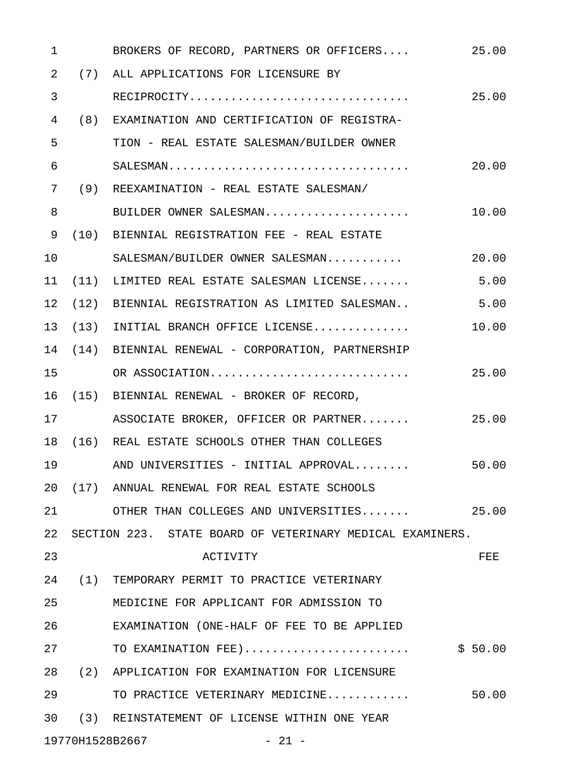| 1  | BROKERS OF RECORD, PARTNERS OR OFFICERS                   | 25.00   |
|----|-----------------------------------------------------------|---------|
| 2  | (7) ALL APPLICATIONS FOR LICENSURE BY                     |         |
| 3  | RECIPROCITY                                               | 25.00   |
| 4  | (8) EXAMINATION AND CERTIFICATION OF REGISTRA-            |         |
| 5  | TION - REAL ESTATE SALESMAN/BUILDER OWNER                 |         |
| 6  |                                                           | 20.00   |
| 7  | (9) REEXAMINATION - REAL ESTATE SALESMAN/                 |         |
| 8  | BUILDER OWNER SALESMAN                                    | 10.00   |
| 9  | (10) BIENNIAL REGISTRATION FEE - REAL ESTATE              |         |
| 10 | SALESMAN/BUILDER OWNER SALESMAN                           | 20.00   |
| 11 | $(11)$ LIMITED REAL ESTATE SALESMAN LICENSE               | 5.00    |
| 12 | $(12)$ BIENNIAL REGISTRATION AS LIMITED SALESMAN          | 5.00    |
| 13 | $(13)$ INITIAL BRANCH OFFICE LICENSE                      | 10.00   |
| 14 | (14) BIENNIAL RENEWAL - CORPORATION, PARTNERSHIP          |         |
| 15 | OR ASSOCIATION                                            | 25.00   |
| 16 | (15) BIENNIAL RENEWAL - BROKER OF RECORD,                 |         |
| 17 | ASSOCIATE BROKER, OFFICER OR PARTNER                      | 25.00   |
| 18 | (16) REAL ESTATE SCHOOLS OTHER THAN COLLEGES              |         |
| 19 | AND UNIVERSITIES - INITIAL APPROVAL                       | 50.00   |
| 20 | (17) ANNUAL RENEWAL FOR REAL ESTATE SCHOOLS               |         |
| 21 | OTHER THAN COLLEGES AND UNIVERSITIES                      | 25.00   |
| 22 | SECTION 223. STATE BOARD OF VETERINARY MEDICAL EXAMINERS. |         |
| 23 | <b>ACTIVITY</b>                                           | FEE     |
| 24 | (1) TEMPORARY PERMIT TO PRACTICE VETERINARY               |         |
| 25 | MEDICINE FOR APPLICANT FOR ADMISSION TO                   |         |
| 26 | EXAMINATION (ONE-HALF OF FEE TO BE APPLIED                |         |
| 27 | TO EXAMINATION FEE)                                       | \$50.00 |
| 28 | (2) APPLICATION FOR EXAMINATION FOR LICENSURE             |         |
| 29 | TO PRACTICE VETERINARY MEDICINE                           | 50.00   |
| 30 | (3) REINSTATEMENT OF LICENSE WITHIN ONE YEAR              |         |
|    |                                                           |         |

19770H1528B2667 - 21 -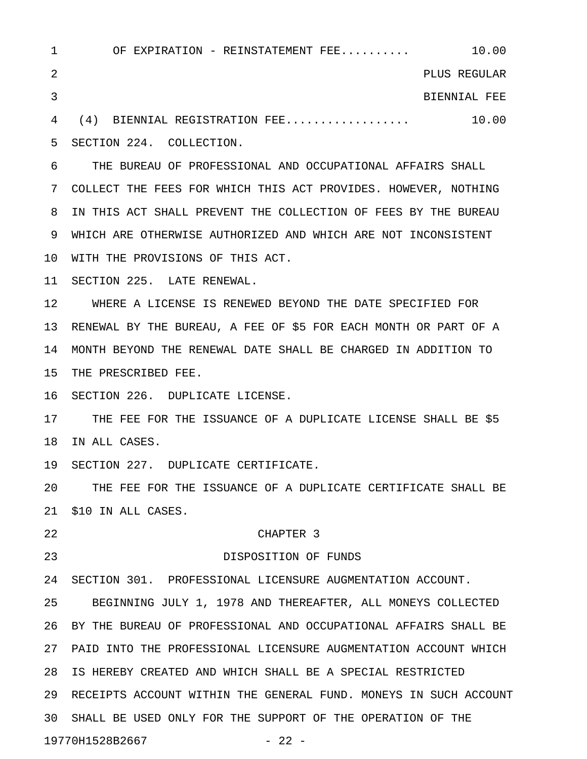1 OF EXPIRATION - REINSTATEMENT FEE........... 10.00 2 PLUS REGULAR 3 BIENNIAL FEE 4 (4) BIENNIAL REGISTRATION FEE.................. 10.00 5 SECTION 224. COLLECTION. 6 THE BUREAU OF PROFESSIONAL AND OCCUPATIONAL AFFAIRS SHALL 7 COLLECT THE FEES FOR WHICH THIS ACT PROVIDES. HOWEVER, NOTHING 8 IN THIS ACT SHALL PREVENT THE COLLECTION OF FEES BY THE BUREAU 9 WHICH ARE OTHERWISE AUTHORIZED AND WHICH ARE NOT INCONSISTENT 10 WITH THE PROVISIONS OF THIS ACT. 11 SECTION 225. LATE RENEWAL. 12 WHERE A LICENSE IS RENEWED BEYOND THE DATE SPECIFIED FOR 13 RENEWAL BY THE BUREAU, A FEE OF \$5 FOR EACH MONTH OR PART OF A 14 MONTH BEYOND THE RENEWAL DATE SHALL BE CHARGED IN ADDITION TO 15 THE PRESCRIBED FEE. 16 SECTION 226. DUPLICATE LICENSE. 17 THE FEE FOR THE ISSUANCE OF A DUPLICATE LICENSE SHALL BE \$5 18 IN ALL CASES. 19 SECTION 227. DUPLICATE CERTIFICATE. 20 THE FEE FOR THE ISSUANCE OF A DUPLICATE CERTIFICATE SHALL BE 21 \$10 IN ALL CASES. 22 CHAPTER 3 23 DISPOSITION OF FUNDS 24 SECTION 301. PROFESSIONAL LICENSURE AUGMENTATION ACCOUNT. 25 BEGINNING JULY 1, 1978 AND THEREAFTER, ALL MONEYS COLLECTED 26 BY THE BUREAU OF PROFESSIONAL AND OCCUPATIONAL AFFAIRS SHALL BE 27 PAID INTO THE PROFESSIONAL LICENSURE AUGMENTATION ACCOUNT WHICH 28 IS HEREBY CREATED AND WHICH SHALL BE A SPECIAL RESTRICTED 29 RECEIPTS ACCOUNT WITHIN THE GENERAL FUND. MONEYS IN SUCH ACCOUNT 30 SHALL BE USED ONLY FOR THE SUPPORT OF THE OPERATION OF THE

19770H1528B2667 - 22 -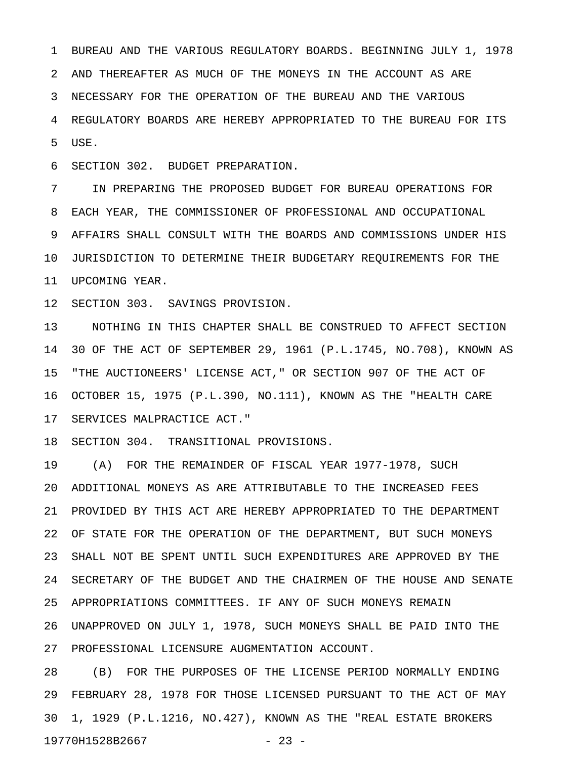1 BUREAU AND THE VARIOUS REGULATORY BOARDS. BEGINNING JULY 1, 1978 2 AND THEREAFTER AS MUCH OF THE MONEYS IN THE ACCOUNT AS ARE 3 NECESSARY FOR THE OPERATION OF THE BUREAU AND THE VARIOUS 4 REGULATORY BOARDS ARE HEREBY APPROPRIATED TO THE BUREAU FOR ITS 5 USE.

6 SECTION 302. BUDGET PREPARATION.

7 IN PREPARING THE PROPOSED BUDGET FOR BUREAU OPERATIONS FOR 8 EACH YEAR, THE COMMISSIONER OF PROFESSIONAL AND OCCUPATIONAL 9 AFFAIRS SHALL CONSULT WITH THE BOARDS AND COMMISSIONS UNDER HIS 10 JURISDICTION TO DETERMINE THEIR BUDGETARY REQUIREMENTS FOR THE 11 UPCOMING YEAR.

12 SECTION 303. SAVINGS PROVISION.

13 NOTHING IN THIS CHAPTER SHALL BE CONSTRUED TO AFFECT SECTION 14 30 OF THE ACT OF SEPTEMBER 29, 1961 (P.L.1745, NO.708), KNOWN AS 15 "THE AUCTIONEERS' LICENSE ACT," OR SECTION 907 OF THE ACT OF 16 OCTOBER 15, 1975 (P.L.390, NO.111), KNOWN AS THE "HEALTH CARE 17 SERVICES MALPRACTICE ACT."

18 SECTION 304. TRANSITIONAL PROVISIONS.

19 (A) FOR THE REMAINDER OF FISCAL YEAR 1977-1978, SUCH 20 ADDITIONAL MONEYS AS ARE ATTRIBUTABLE TO THE INCREASED FEES 21 PROVIDED BY THIS ACT ARE HEREBY APPROPRIATED TO THE DEPARTMENT 22 OF STATE FOR THE OPERATION OF THE DEPARTMENT, BUT SUCH MONEYS 23 SHALL NOT BE SPENT UNTIL SUCH EXPENDITURES ARE APPROVED BY THE 24 SECRETARY OF THE BUDGET AND THE CHAIRMEN OF THE HOUSE AND SENATE 25 APPROPRIATIONS COMMITTEES. IF ANY OF SUCH MONEYS REMAIN 26 UNAPPROVED ON JULY 1, 1978, SUCH MONEYS SHALL BE PAID INTO THE 27 PROFESSIONAL LICENSURE AUGMENTATION ACCOUNT.

28 (B) FOR THE PURPOSES OF THE LICENSE PERIOD NORMALLY ENDING 29 FEBRUARY 28, 1978 FOR THOSE LICENSED PURSUANT TO THE ACT OF MAY 30 1, 1929 (P.L.1216, NO.427), KNOWN AS THE "REAL ESTATE BROKERS 19770H1528B2667 - 23 -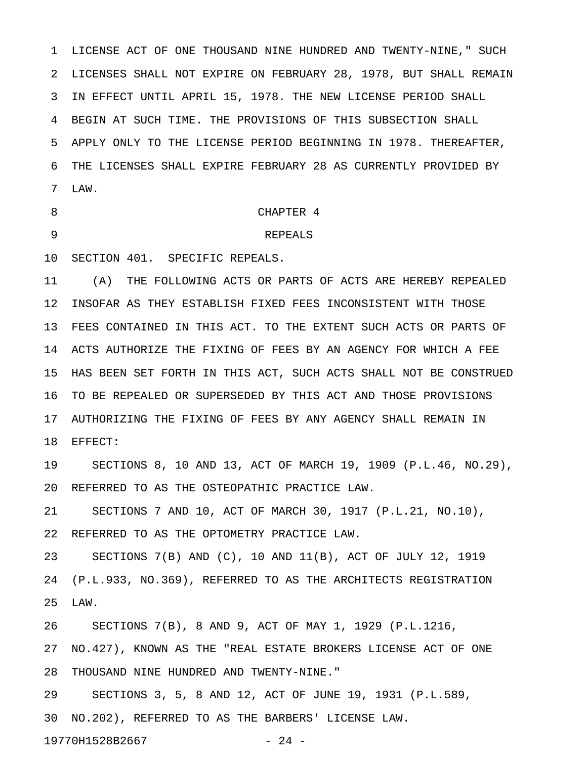1 LICENSE ACT OF ONE THOUSAND NINE HUNDRED AND TWENTY-NINE," SUCH 2 LICENSES SHALL NOT EXPIRE ON FEBRUARY 28, 1978, BUT SHALL REMAIN 3 IN EFFECT UNTIL APRIL 15, 1978. THE NEW LICENSE PERIOD SHALL 4 BEGIN AT SUCH TIME. THE PROVISIONS OF THIS SUBSECTION SHALL 5 APPLY ONLY TO THE LICENSE PERIOD BEGINNING IN 1978. THEREAFTER, 6 THE LICENSES SHALL EXPIRE FEBRUARY 28 AS CURRENTLY PROVIDED BY 7 LAW.

### 8 CHAPTER 4

#### 9 REPEALS

10 SECTION 401. SPECIFIC REPEALS.

11 (A) THE FOLLOWING ACTS OR PARTS OF ACTS ARE HEREBY REPEALED 12 INSOFAR AS THEY ESTABLISH FIXED FEES INCONSISTENT WITH THOSE 13 FEES CONTAINED IN THIS ACT. TO THE EXTENT SUCH ACTS OR PARTS OF 14 ACTS AUTHORIZE THE FIXING OF FEES BY AN AGENCY FOR WHICH A FEE 15 HAS BEEN SET FORTH IN THIS ACT, SUCH ACTS SHALL NOT BE CONSTRUED 16 TO BE REPEALED OR SUPERSEDED BY THIS ACT AND THOSE PROVISIONS 17 AUTHORIZING THE FIXING OF FEES BY ANY AGENCY SHALL REMAIN IN 18 EFFECT:

19 SECTIONS 8, 10 AND 13, ACT OF MARCH 19, 1909 (P.L.46, NO.29), 20 REFERRED TO AS THE OSTEOPATHIC PRACTICE LAW.

21 SECTIONS 7 AND 10, ACT OF MARCH 30, 1917 (P.L.21, NO.10), 22 REFERRED TO AS THE OPTOMETRY PRACTICE LAW.

23 SECTIONS 7(B) AND (C), 10 AND 11(B), ACT OF JULY 12, 1919 24 (P.L.933, NO.369), REFERRED TO AS THE ARCHITECTS REGISTRATION 25 LAW.

26 SECTIONS 7(B), 8 AND 9, ACT OF MAY 1, 1929 (P.L.1216, 27 NO.427), KNOWN AS THE "REAL ESTATE BROKERS LICENSE ACT OF ONE 28 THOUSAND NINE HUNDRED AND TWENTY-NINE."

29 SECTIONS 3, 5, 8 AND 12, ACT OF JUNE 19, 1931 (P.L.589, 30 NO.202), REFERRED TO AS THE BARBERS' LICENSE LAW.

19770H1528B2667 - 24 -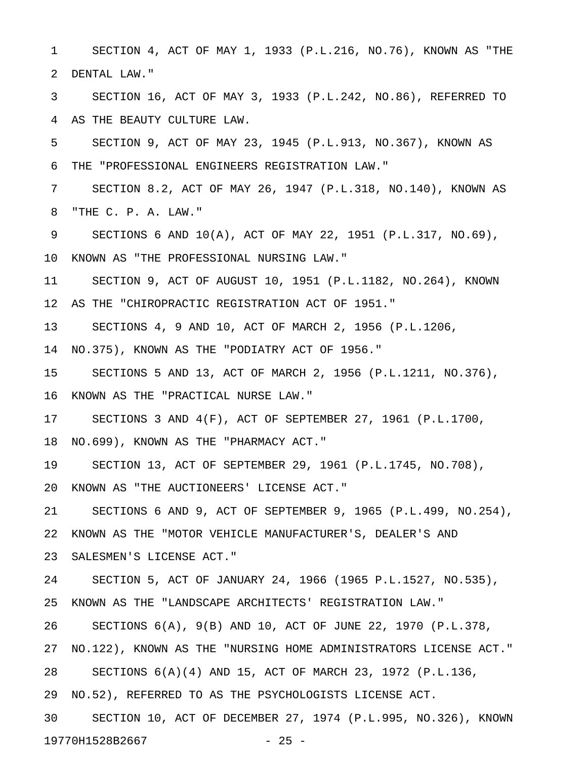1 SECTION 4, ACT OF MAY 1, 1933 (P.L.216, NO.76), KNOWN AS "THE 2 DENTAL LAW."

3 SECTION 16, ACT OF MAY 3, 1933 (P.L.242, NO.86), REFERRED TO 4 AS THE BEAUTY CULTURE LAW.

5 SECTION 9, ACT OF MAY 23, 1945 (P.L.913, NO.367), KNOWN AS 6 THE "PROFESSIONAL ENGINEERS REGISTRATION LAW."

7 SECTION 8.2, ACT OF MAY 26, 1947 (P.L.318, NO.140), KNOWN AS 8 "THE C. P. A. LAW."

9 SECTIONS 6 AND 10(A), ACT OF MAY 22, 1951 (P.L.317, NO.69), 10 KNOWN AS "THE PROFESSIONAL NURSING LAW."

11 SECTION 9, ACT OF AUGUST 10, 1951 (P.L.1182, NO.264), KNOWN 12 AS THE "CHIROPRACTIC REGISTRATION ACT OF 1951."

13 SECTIONS 4, 9 AND 10, ACT OF MARCH 2, 1956 (P.L.1206,

14 NO.375), KNOWN AS THE "PODIATRY ACT OF 1956."

15 SECTIONS 5 AND 13, ACT OF MARCH 2, 1956 (P.L.1211, NO.376),

16 KNOWN AS THE "PRACTICAL NURSE LAW."

17 SECTIONS 3 AND 4(F), ACT OF SEPTEMBER 27, 1961 (P.L.1700,

18 NO.699), KNOWN AS THE "PHARMACY ACT."

19 SECTION 13, ACT OF SEPTEMBER 29, 1961 (P.L.1745, NO.708),

20 KNOWN AS "THE AUCTIONEERS' LICENSE ACT."

21 SECTIONS 6 AND 9, ACT OF SEPTEMBER 9, 1965 (P.L.499, NO.254),

22 KNOWN AS THE "MOTOR VEHICLE MANUFACTURER'S, DEALER'S AND

23 SALESMEN'S LICENSE ACT."

24 SECTION 5, ACT OF JANUARY 24, 1966 (1965 P.L.1527, NO.535),

25 KNOWN AS THE "LANDSCAPE ARCHITECTS' REGISTRATION LAW."

26 SECTIONS 6(A), 9(B) AND 10, ACT OF JUNE 22, 1970 (P.L.378,

27 NO.122), KNOWN AS THE "NURSING HOME ADMINISTRATORS LICENSE ACT."

28 SECTIONS 6(A)(4) AND 15, ACT OF MARCH 23, 1972 (P.L.136,

29 NO.52), REFERRED TO AS THE PSYCHOLOGISTS LICENSE ACT.

30 SECTION 10, ACT OF DECEMBER 27, 1974 (P.L.995, NO.326), KNOWN 19770H1528B2667 - 25 -